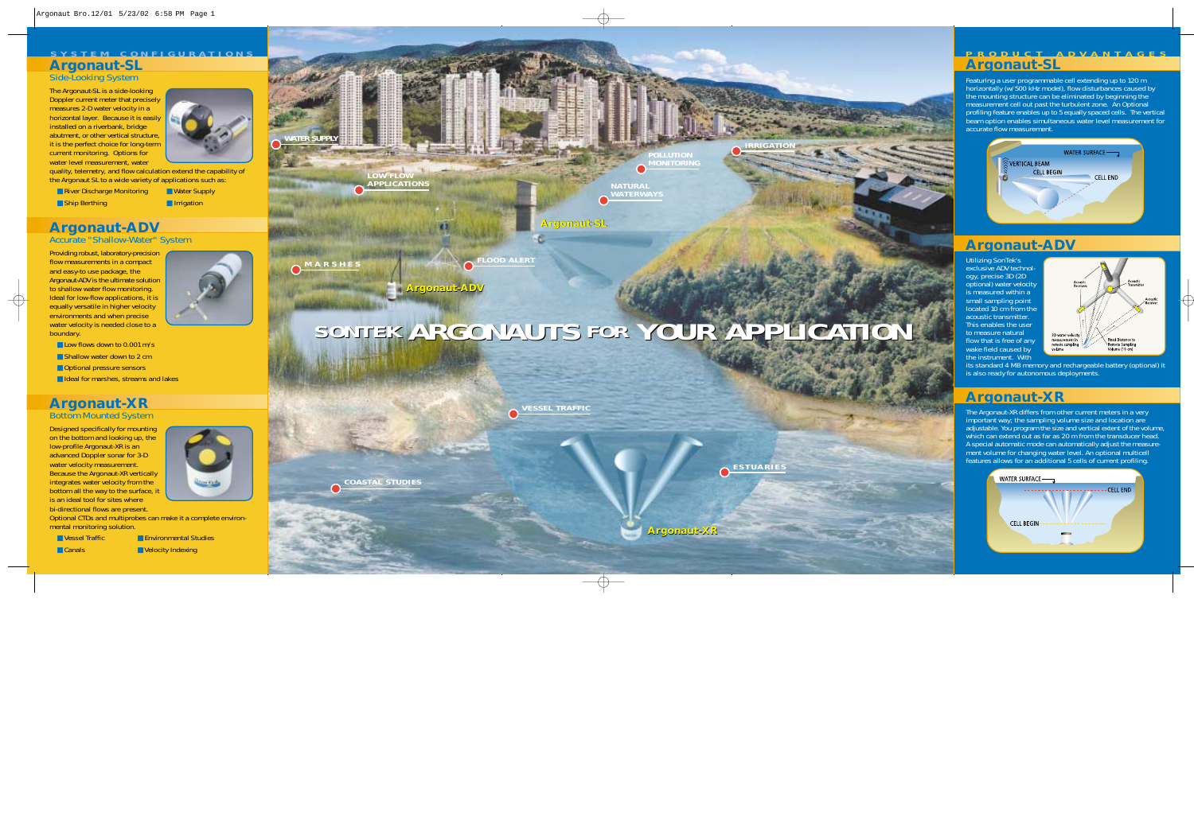Designed specifically for mounting on the bottom and looking up, the low-profile Argonaut-XR is an advanced Doppler sonar for 3-D water velocity measurement. Because the Argonaut-XR vertically integrates water velocity from the bottom all the way to the surface, it is an ideal tool for sites where bi-directional flows are present.



Optional CTDs and multiprobes can make it a complete environmental monitoring solution.

■ Vessel Traffic ■ Environmental Studies ■ Canals ■ Velocity Indexing



Providing robust, laboratory-precision flow measurements in a compact and easy-to use package, the Argonaut-ADV is the ultimate solution to shallow water flow monitoring. Ideal for low-flow applications, it is equally versatile in higher velocity environments and when precise water velocity is needed close to a boundary.



■ Low flows down to 0.001 m/s

- Shallow water down to 2 cm
- Optional pressure sensors
- Ideal for marshes, streams and lakes

Featuring a user programmable cell extending up to 120 m horizontally (w/500 kHz model), flow disturbances caused by the mounting structure can be eliminated by beginning the measurement cell out past the turbulent zone. An Optional profiling feature enables up to 5 equally spaced cells. The vertical beam option enables simultaneous water level measurement for accurate flow measurement.



### **Argonaut-XR**

#### **Bottom Mounted System**

#### **Argonaut-SL Side-Looking System**

### **Argonaut-ADV**

**Accurate "Shallow-Water" System**

The Argonaut-SL is a side-looking Doppler current meter that precisely measures 2-D water velocity in a horizontal layer. Because it is easily installed on a riverbank, bridge abutment, or other vertical structure, it is the perfect choice for long-term current monitoring. Options for water level measurement, water



quality, telemetry, and flow calculation extend the capability of the Argonaut SL to a wide variety of applications such as:

■ River Discharge Monitoring ■ Water Supply ■ Ship Berthing ■ Irrigation

#### **SYSTEM CONFIGURATIONS**

### **Argonaut-XR**

**ESTUARIES**



**COASTAL STUDIES**

#### **PRODUCT ADVANTAGES Argonaut-SL**

Utilizing SonTek's exclusive ADV technology, precise 3D (2D optional) water velocity is measured within a small sampling point located 10 cm from the acoustic transmitter. This enables the user to measure natural flow that is free of any wake field caused by the instrument. With





its standard 4 MB memory and rechargeable battery (optional) it is also ready for autonomous deployments.

The Argonaut-XR differs from other current meters in a very important way; the sampling volume size and location are adjustable. You program the size and vertical extent of the volume, which can extend out as far as 20 m from the transducer head. A special automatic mode can automatically adjust the measurement volume for changing water level. An optional multicell features allows for an additional 5 cells of current profiling.

| <b>WATER SURFACE-</b> |                 |
|-----------------------|-----------------|
|                       | <b>CELL END</b> |
|                       |                 |
| <b>CELL BEGIN</b>     |                 |
|                       |                 |

### **Argonaut-ADV**

**Argonaut-XR**

# **SONTEK ARGONAUTS ARGONAUTS FOR YOUR APPLICATION YOUR APPLICATION**